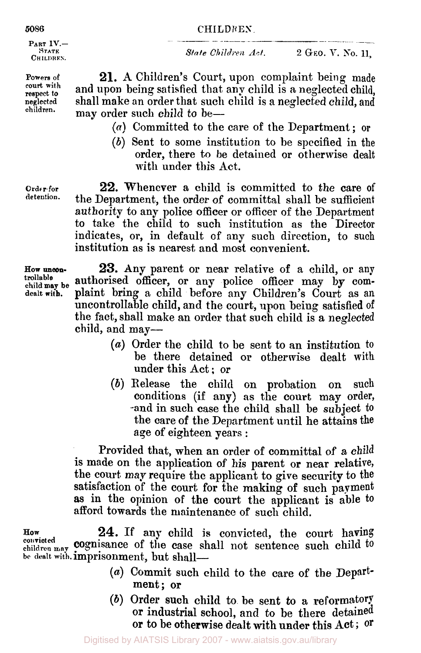# **CHI** L DR **EN**  CHILDREN.

**PART IV.- STATE CHILDREN.** 

**Powers of court with respect to neglected children.** 

**Order- for detention.**  *Sta te Ch iIdren Ac t* .

**2 GEO. V.** *So.* **11,** 

**21. A** Children's Court, upon complaint being made and upon being satisfied that any child is **a** neglected child, shall make an order that such child is a neglected child, and may order such child to be—

- *(a)* Committed to the care of the Department; **or**
- *(b)* Sent to some institution to be specified in the order, there to be detained or otherwise dealt with under this Act.

**22.** Whenever a child is committed to the care of the Department, the order of committal shall be sufficient authority to any police officer or officer of the Department to take the child to such institution as the Director indicates, or, in default of any such direction, to such institution as is nearest and most convenient.

**23.** Any parent or near relative of a child, or any authorised officer, or any police officer may by complaint bring a child before any Children's Court as an uncontrollable child, and the court, upon being satisfied of the fact, shall make an order that **such** child is a neglected child, and may-

- (a) Order the child to be sent to an institution to be there detained or otherwise dealt with under this Act ; or
- *(b)* Release the child on probation on such conditions (if any) as the court may order, -and in such case the child shall be subject to the care of the Department until he attains the age **of** eighteen years :

Provided that, when an order of committal of a child is made on the application of his parent **or** near relative, the court **may** require the applicant to give security to the satisfaction of the court for the making of such payment as in the opinion of the court the applicant is able **to**  afford towards the maintenance of such child.

**How 24. If** any child **is** convicted, the court having convicted may **cognisance** of the case shall not sentence such child to be dealt with. **imprisonment**, but shall-

- *(a)* Commit such child to the care of the Department; **or**
- *(b)* Order such child to be sent **to** a reformatory or industrial school, and to be there detained **or** to be otherwise dealt with under this Act ; **Or**

**How uncon**child may be dealt with.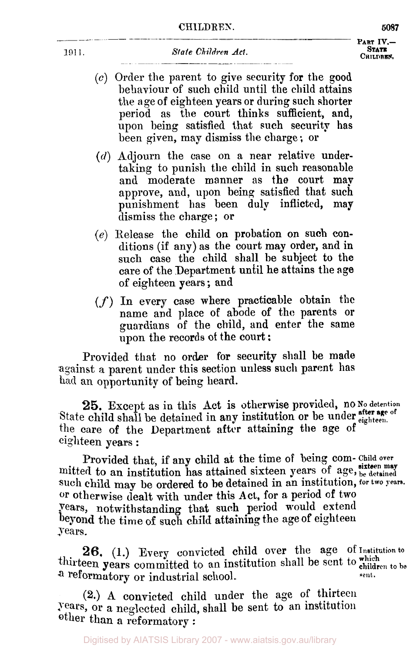**CH I LDREN** 

- *(c)* Order the parent to give security for the good behaviour of such child until the child attains the age of eighteen years or during such shorter period as the court thinks sufficient, and, upon being satisfied that such security has been given, may dismiss the charge ; or
- *(d)* Adjourn the case on a near relative undertaking to punish the child in such reasonable and moderate manner **as** the court map approve, and, upon being satisfied that such punishment has been duly inflicted, may dismiss the charge; or
- *(e)* Release the child on probation on **such** conditions **(if** any) as the court may order, and in such case the child shall be subject **to** the care of the Department until he attains the **age**  of eighteen years; and
- *(f)* In every case where practicable obtain the name and place of abode **of** the parents or guardians of the child, and enter the same upon the records of the court :

Provided that no order for security shall be made against a parent under this section unless such parent has had an opportunity **of** being heard.

State child shall be detained in any institution or be under *efter* age of the care of the Department after attaining the age **of**  eighteen years : 25. Except as in this Act is otherwise provided, no No detention

Provided that, if any child at the time of being com-Child over mitted to an institution has attained sixteen years of age, <sup>sixteen may mitted to an institution has attained</sup> such child **may be** ordered to he detained in an institution, **for** two years. or otherwise dealt with under this Act, for a period of two years, notwithstanding that such period would extend beyond the time of such child attaining the age of eighteen years.

26, **(1.)** Every convicted child over the age **Of Institution to**  thirteen years committed to an institution shall be sent to which to be a reformatory or industrial school. sent.

**(2.) A** convicted child under the age of thirteen years, **Or** a neglected child, shall be sent to an institution other than **a** reformatory :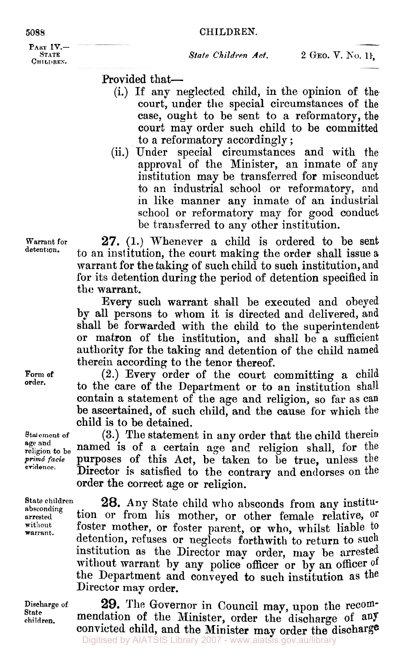# **CHILDREN.**

**PART IV.- STATE CHILDREN.** 

Provided that-

- (i.) If any neglected child, in the opinion of the court, under the special circumstances of **the**  case, ought to be sent to a reformatory, the court may order such child to be committed to a reformatory accordingly ;
- (ii.) Under special circumstances and with the approval of the Minister, an inmate of any institution may be transferred for misconduct to an industrial school OF reformatory, and in like manner any inmate of an industrial school or reformatory may for good conduct be transferred to any other institution.

**27.** (1.) Whenever a child is ordered to be sent to an institution, the court making the order shall issue a warrant for the taking of such child to such institution, and for its detention during the period of detention specified in the warrant.

Every **such** warrant shall be executed and obeyed by all persons to whom it is directed and delivered, and shall be forwarded with the child to the superintendent or matron of the institution, and shall be a sufficient authority for the taking and detention **of** the child named therein according to the tenor thereof.

(2.) Every order of the court committing a child to the care of the Department or to an institution shall contain a statement **of** the age and religion, so far as can be ascertained, **of** such child, and the cause for which the child is **to** be detained.

(3.) The statement in any order that the child therein named is of **a** certain age and religion shall, for the purposes of this **Act,** be taken to be true, unless the Director is satisfied to the contrary and endorses on the order the correct age or religion.

**28.** Any State child who absconds from any institution or from his mother, or other female relative, **or**  foster mother, or foster parent, or who, whilst liable to detention, refuses or neglects forthwith to return to **such**  institution as the Director may order, may be arrested without warrant by any police officer or by an officer of the Department and conveyed to such institution as the Director may order.

**29.** The Governor in Council may, upon the recommendation of the Minister, order the discharge of any convicted child, and the Minister may order the discharge Digitised by AIATSIS Library 2007 - www.aiatsis.gov.au/library

**Form of order.** 

**Warrant** for **detention.** 

**Statement of age** and **religion to be**   $prim\hat{a}$  *facie* **evidence.** 

**State children absconding arrested without warran t** .

**Discharge of State children.**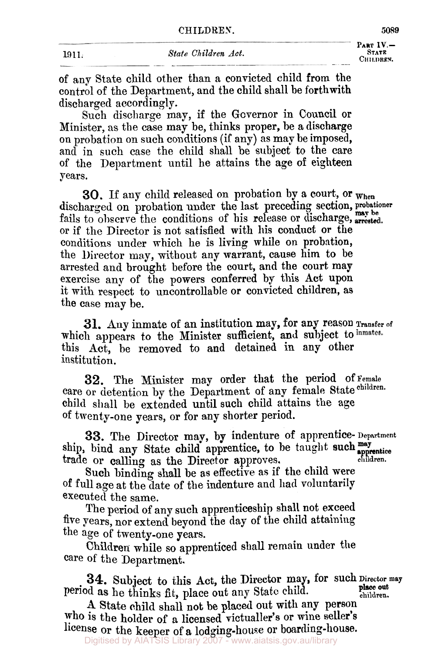of any State child other than a convicted child from the control of the Department, and the child shall be forthwith discharged accordingly.

Such discharge may, if the Governor in Council or Minister, as the case may be, thinks proper, be a discharge on probation on such conditions (if any) as may be imposed, and in such case the child shall be subject to the care of the Department until he attains the age of eighteen years.

**30.** If any child released on probation by a court, or  $_{\text{When}}$ discharged on probation under the last preceding section, **probationer**  or if the Director is not satisfied with his conduct **or** the conditions under which he is living while on probation, the Director may, without any warrant, cause him to be arrested and brought before the court, and the court may exercise any of the powers conferred by this Act upon it with respect to uncontrollable or convicted children, as the case may be. fails to observe the conditions of his release or discharge, **my be** 

which appears to the Minister sufficient, and subject to inmates. this Act, be removed to and detained in **any** other institution. **31.** Any inmate of an institution may, for any reason **Transfer of** 

**32.** The Minister may order that the period **Of Female**  care or detention by the Department of any female State children. child shall be extended until such child attains the age of twenty-one years, or for any shorter period.

**33.** The Director may, by indenture of apprentice- **Department**  ship, bind any State child apprentice, to be taught such apprentice trade or calling as the Director approves. **children.** 

Such binding shall **be** as effective as if the child were **of** full age at the date of the indenture and had voluntarily executed the same,

The period of any such apprenticeship shall not exceed five years, nor extend beyond the day of the child attaining the age of twenty-one years.

Children while so apprenticed shall remain under the care **of** the Department.

**34.** Subject to this Act, the Director may, **for** such Director may **place out**  Period he thinks fit, place out any State child. **children.** 

*A* State child shall not be placed out with any person who **is** the holder of a licensed victualler's or wine seller's license or the keeper **of a** lodging-house or boarding-house.

Digitised by AIATSIS Library 2007 - www.aiatsis.gov.au/library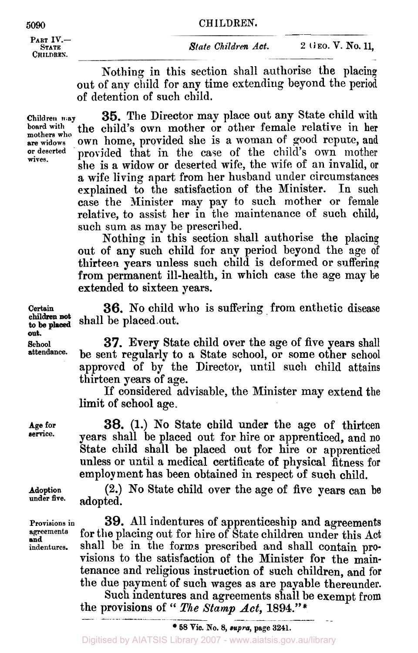PART IV.-

Nothing in this section shall authorise the placing out of any child **for** any time extending beyond the period of detention of such child.

**Children may board with mothers who are widows or deserted** . **wives.** 

**35.** The Director may place out any State child with the child's own mother or other female relative in her **own** home, provided she is a woman of good **repute,** and provided that in the case of the child's own mother she is **a** widow or deserted wife, the wife of **an** invalid, **or**  a wife living apart from her husband under circumstances<br>explained to the satisfaction of the Minister. In such explained to the satisfaction of the Minister. case the Minister may pay to such mother or female relative, to assist her in the maintenance of such child, such sum as may be prescribed.

Nothing in this section shall authorise the placing out **of** any such child for any period beyond the age of thirteen years unless such child is deformed or suffering from permanent ill-health, in which case the age may **be**  extended to sixteen years.

**Certain 36.** No child **who** is suffering **from** enthetic disease shall be placed out. **to** be **placed** 

**School 37.** Every State child over the age **of** five years shall be sent regularly to a State school, or some other school approved of by the Director, until such child attains thirteen years of age.

> **If** considered advisable, the Minister may extend the limit **of** school age.

> **38.** (1.) **No** State child under the age of thirteen years shall be placed out for hire **or** apprenticed, and no State child shall be placed out **for** hire **or** apprenticed unless **or** until a medical certificate of physical fitness for employment has been obtained in respect of such child.

**Adoption (2.) No** State child over the age of five years can **be under five.** adopted.

**Proviaions in 39.** All indentures **of** apprenticeship and agreements **agreements** for the placing out for hire of State children under this **Act indentures.** shall be in the **forms** prescribed and shall contain provisions to the satisfaction of the Minister for the maintenance and religious instruction **of** such children, and **for**  the due payment **of** such wages as are payable thereunder.

Such indentures and agreements shall be exempt from Such indentures and agreements shall be a<br>the provisions of " *The Stamp Act*, 1894."\*

Digitised by AIATSIS Library 2007 - www.aiatsis.gov.au/library

**children not out.** 

**Age for service.** 

**and**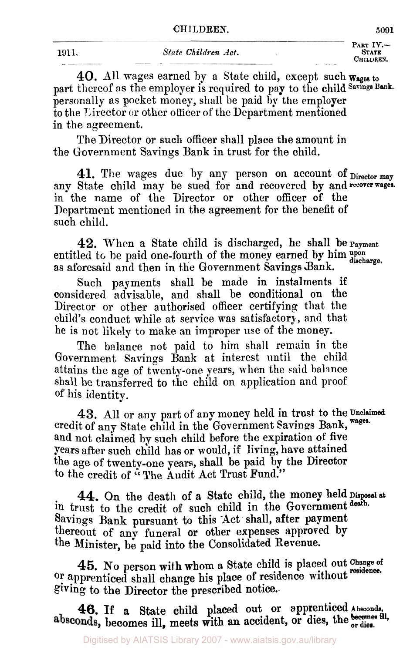**PART IV.-** 

1911. **40.** All wages earned by a State child, except such Wages **to**  part thereof as the employer is required to pay to the child Savings Bank. personally as pocket money, shall be paid **by** the employer to the Director or other officer of the Department mentioned in the agreement.

The Director or such officer shall place the amount in the Government Savings Bank in trust for the child.

**41.** The wages due By any person on account **of** Director **may**  any State child may be sued for and recovered by and recover wages. in the name of the Director or other officer of the Department mentioned in the agreement for the benefit of such child.

**42.** When a State child is discharged, he shall be payment entitled to be paid one-fourth of the money earned by him upon discharge. as aforesaid and then in the Government Savings Bank.

Such payments shall be made in instalments if considered advisable, and shall be conditional on the Director **or** other authorised officer certifying that the child's conduct while at service was satisfactory, and that he is not likely to make an improper use of the money.

The balance not paid to him shall remain in the Government Savings Bank at interest until the child attains the age of twenty-one years, when the said balance shall be transferred to the child on application and proof of his identity.

credit of any State child in the Government Savings Bank, wages. and not claimed by such child before the expiration of five Years after such child has or would, if living, have attained the age of twenty-one years, shall be paid **by** the Director to the credit **of "** The Audit Act Trust Fund." 43. All or any part of any money held in trust to the Unclaimed

in trust to the credit of such child in the Government death. Savings Bank pursuant to this Act shall, after payment thereout of any funeral or other expenses approved by the Minister, **be** paid into the Consolidated Revenue. **44.** On the death of **a** State child, the money held Disposal at

or apprenticed shall change his place of residence without residence. giving to the Director the prescribed notice.. **45.** No person with whom a State child is placed out Change of

**46.** If a State child placed out or apprenticed *Absconds*, absconds, becomes ill, meets with an accident, or dies, the ordies.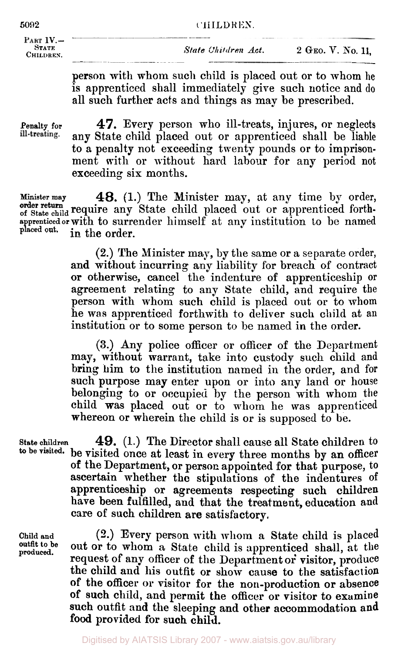## **5092 CHILDREN.**

 $\mathbf{IV}_{\text{max}}$   $\frac{1}{\sqrt{2\pi}}$ PART IV. THE STATE<br> **2 GEO. V. No. 11,**<br>
CHILDREN. 2 GEO. V. No. 11,

*State Children Act.* 

person with whom such child is placed out or to whom **he**  is apprenticed shall immediately give such notice and do all such further acts and things as may be prescribed. CHILDREN.<br>
PART IV. — <u>STATE</u><br>
CHILDREN.<br>
CHILDREN.<br> **CHILDREN.**<br> **CHILDREN.**<br> **CHILDREN.**<br> **CHILDREN.**<br> **CHILDREN.**<br> **CHILDREN.**<br> **CHILDREN.**<br> **CHILDREN.** 

**Penalty for 47. Every person who ill-treats, injures, or neglects ill-treating. any State child placed out or apprenticed shall be liable** any State child placed out or apprenticed shall be liable to **a** penalty not exceeding twenty pounds or to imprisonment with or without hard labour for any period not exceeding six months.

**Minister may 48.** (1.) The Minister may, at any time by order, order return require any State child placed out or apprenticed forthapprenticed or with to surrender himself at any institution to be named<br>placed out. in the order in the order.

> **(2.)** The Minister may, by the same or a separate order, and without incurring any liability for breach of contract or otherwise, cancel the indenture of apprenticeship or agreement relating to any State child, and require the person with whom such child is placed out or to **whom**  he **was** apprenticed forthwith to deliver such child at **an**  institution or to some person to be named in the order.

> **(3.) Any** police officer or officer of the Department may, without warrant, take into custody such child and bring him to the institution named in the order, and for such purpose may enter upon or into any land **or** house belonging to **or** occupied by the person with whom the child was placed out or to whom he was apprenticed whereon or wherein the child is or is supposed to be.

State children **49.** (1.) The Director shall cause all State children to to be visited, he visited once at least in every three mention by an efficial **to be visited.** be visited once at least in every three months by an officer **of** the Department, or person aipointed for that purpose, **to**  ascertain whether the stipulations of the indentures **of**  apprenticeship **or** agreements respecting such children have been fulfilled, **and** that the treatment, education **and**  care of such children are satisfactory,

**Child** and **outfit to be**  produced.

**(2.)** Every person with **whom** a State child is placed out or to whom a State child is apprenticed shall, at the request **of** any officer **of** the Department **or'** visitor, produce the child and his outfit **or** show cause to the satisfaction **of** the **officer or** visitor for the non-production or absence **of** such child, **and** permit the **officer or** visitor to examine such outfit **and** the sleeping and other accommodation and **food** provided **for** such **child.** 

Digitised by AIATSIS Library 2007 - www.aiatsis.gov.au/library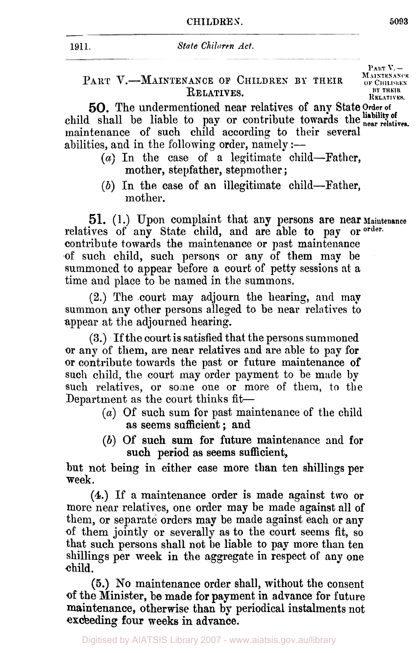| 1911. | State Chilaren Act.                                                              |                                                        |
|-------|----------------------------------------------------------------------------------|--------------------------------------------------------|
|       | PART V.-MAINTENANCE OF CHILDREN BY THEIR<br>$\mathbf{D}_{\mathbf{D}}$ r i mixino | $P_{ABT}V =$<br>MAINTENANCE<br>OF CHILDREN<br>BY THEIR |

 $R$ **ELATIVES.** 

*50.* The undermentioned near relatives of any State Order **of**  child shall be liable to pay or contribute towards the liability of near relatives. maintenance of such child according to their several abilities, and in the following order, namely  $:$ --

- $(a)$  In the case of a legitimate child-Father, mother, stepfather, stepmother ;
- *(b)* In the case of an illegitimate child--Father, mother.

51. (1.) Upon complaint that any persons are near Maintenance relatives of any State child, and are able to pay or <sup>order</sup> contribute towards the maintenance or past maintenance of such child, such persons or any of them may **be**  summoned to appear before a court of petty sessions at a time and place to be named in the summons.

**(2.)** The court may adjourn the hearing, and may summon any other persons alleged to be near relatives to appear at the adjourned hearing.

**(3.)** If the court is satisfied that the persons summoned or any of them, are near relatives and are able to pay for or contribute towards the past or future maintenance of such child, the court may order payment to be made by such relatives, or some one or more of them, to the Department as the court thinks fit-

- *(a)* Of such sum for past maintenance of the child as seems sufficient; and
- *(b)* Of such sum for future maintenance and for such period as seems sufficient,

but not being in either case more than ten shillings per week.

**(4.)** If a maintenance order is made against two **or**  more near relatives, one order may be made against all of them, or separate orders may be made against each or any **of** them jointly or severally as to the court seem fit, so that such persons shall not be liable to **pap** more than ten shillings **per** week in the aggregate in respect **of** any one child.

*(6.)* **NO** maintenance order shall, without the consent of the Minister, **be** made for payment in advance **for** future maintenance, otherwise than by periodical instalments not exceeding **four** weeks **in** advance.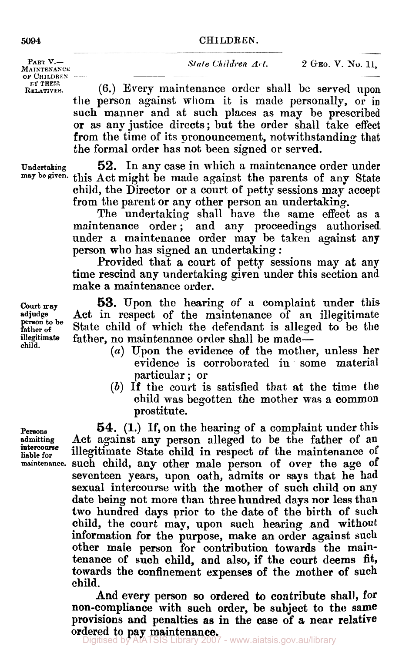## **5094 CHILDREN.**

OF **CHILDREN ET THEIR** 

**PART V.**-<br>*NAINTENANCE State Children A***<sup>t</sup>. 2 GEO. V. No. 11,** *MAINTENANCE* 

(6.) Every maintenance order shall be served upon the person against whom it is made personally, or in such manner and at such places as may be prescribed or as any justice directs; but the order shall take effect from the time of its pronouncement, notwithstanding that the formal order has not been signed or served.

**Undertaking 52.** In **any** case in which a maintenance order under **may be given.** this Act might be made against the parents of any State child, the Director or a court of petty sessions may accept from the parent or any other person an undertaking.

The undertaking shall have the same effect as a maintenance order ; and any proceedings authorised under a maintenance order may be taken against any person who has signed an undertaking :

Provided that a court of petty sessions may at any time rescind any undertaking given under this section and make a maintenance order.

Court **may 53.** Upon the hearing of a complaint under this adjudge Act in respect of the maintenance of an illegitimate **adjudge** Act in respect of the maintenance of an illegitimate **person to be father of** State child of which the defendant is alleged to be the illegitimate father, no maintenance order shall be made. **illegitimate** father, no maintenance order shall be made-

- **child. (a)** Upon the evidence of the **mother,** unless her evidence is corroborated in some material particular ; or
- (b) If the court is satisfied that at the time the child was begotten the mother was a common prostitute.

**Persons 54.** (1.) If, on the hearing of a complaint under this admitting Act against any person alleged to be the father of an Act against any person alleged to be the father of an Intercourse illegitimate State child in respect of the maintenance of maintenance such child, any other male person of over the age of such child, any other male person of over the age of seventeen years, upon oath, admits or says that he had sexual intercourse with the mother of such child **on** any date being not more than three hundred days nor less than two hundred days prior to the date **of** the birth of **such**  child, the court may, upon such hearing and without information for the purpose, make an order against **such**  other male person for contribution towards the maintenance of such child, and also, if the court deems **fit,**  towards the confinement expenses of the mother of such child.

> And every person so ordered to contribute shall, **for**  non-compliance with such order, be subject to **the** same provisions and penalties **as in** the **case** of **a** near relative ordered to pay maintenance.

**intercourse**